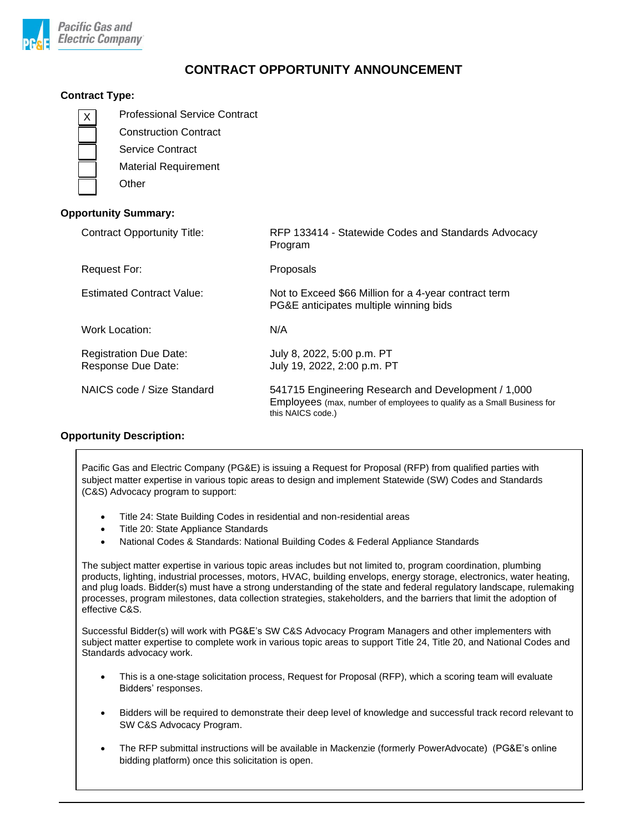

# **CONTRACT OPPORTUNITY ANNOUNCEMENT**

## **Contract Type:**

|                             | <b>Professional Service Contract</b><br>X.          |                                                                                                 |
|-----------------------------|-----------------------------------------------------|-------------------------------------------------------------------------------------------------|
|                             | <b>Construction Contract</b>                        |                                                                                                 |
|                             | <b>Service Contract</b>                             |                                                                                                 |
|                             | <b>Material Requirement</b>                         |                                                                                                 |
|                             | Other                                               |                                                                                                 |
| <b>Opportunity Summary:</b> |                                                     |                                                                                                 |
|                             | <b>Contract Opportunity Title:</b>                  | RFP 133414 - Statewide Codes and Standards Advocacy<br>Program                                  |
|                             | <b>Request For:</b>                                 | Proposals                                                                                       |
|                             | <b>Estimated Contract Value:</b>                    | Not to Exceed \$66 Million for a 4-year contract term<br>PG&E anticipates multiple winning bids |
|                             | <b>Work Location:</b>                               | N/A                                                                                             |
|                             | <b>Registration Due Date:</b><br>Response Due Date: | July 8, 2022, 5:00 p.m. PT<br>July 19, 2022, 2:00 p.m. PT                                       |

### **Opportunity Description:**

Pacific Gas and Electric Company (PG&E) is issuing a Request for Proposal (RFP) from qualified parties with subject matter expertise in various topic areas to design and implement Statewide (SW) Codes and Standards (C&S) Advocacy program to support:

NAICS code / Size Standard 541715 Engineering Research and Development / 1,000

this NAICS code.)

Employees (max, number of employees to qualify as a Small Business for

- Title 24: State Building Codes in residential and non-residential areas
- Title 20: State Appliance Standards
- National Codes & Standards: National Building Codes & Federal Appliance Standards

The subject matter expertise in various topic areas includes but not limited to, program coordination, plumbing products, lighting, industrial processes, motors, HVAC, building envelops, energy storage, electronics, water heating, and plug loads. Bidder(s) must have a strong understanding of the state and federal regulatory landscape, rulemaking processes, program milestones, data collection strategies, stakeholders, and the barriers that limit the adoption of effective C&S.

Successful Bidder(s) will work with PG&E's SW C&S Advocacy Program Managers and other implementers with subject matter expertise to complete work in various topic areas to support Title 24, Title 20, and National Codes and Standards advocacy work.

- This is a one-stage solicitation process, Request for Proposal (RFP), which a scoring team will evaluate Bidders' responses.
- Bidders will be required to demonstrate their deep level of knowledge and successful track record relevant to SW C&S Advocacy Program.
- The RFP submittal instructions will be available in Mackenzie (formerly PowerAdvocate) (PG&E's online bidding platform) once this solicitation is open.